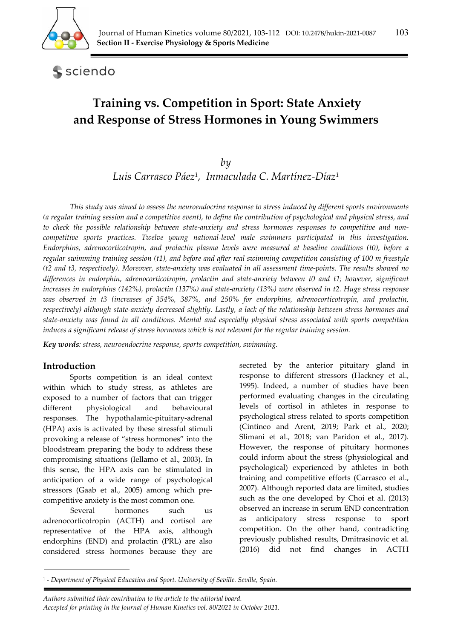

sciendo

# **Training vs. Competition in Sport: State Anxiety and Response of Stress Hormones in Young Swimmers**

*by* 

*Luis Carrasco Páez1, Inmaculada C. Martínez-Díaz1*

*This study was aimed to assess the neuroendocrine response to stress induced by different sports environments (a regular training session and a competitive event), to define the contribution of psychological and physical stress, and to check the possible relationship between state-anxiety and stress hormones responses to competitive and noncompetitive sports practices. Twelve young national-level male swimmers participated in this investigation. Endorphins, adrenocorticotropin, and prolactin plasma levels were measured at baseline conditions (t0), before a regular swimming training session (t1), and before and after real swimming competition consisting of 100 m freestyle (t2 and t3, respectively). Moreover, state-anxiety was evaluated in all assessment time-points. The results showed no differences in endorphin, adrenocorticotropin, prolactin and state-anxiety between t0 and t1; however, significant increases in endorphins (142%), prolactin (137%) and state-anxiety (13%) were observed in t2. Huge stress response was observed in t3 (increases of 354%, 387%, and 250% for endorphins, adrenocorticotropin, and prolactin, respectively) although state-anxiety decreased slightly. Lastly, a lack of the relationship between stress hormones and state-anxiety was found in all conditions. Mental and especially physical stress associated with sports competition induces a significant release of stress hormones which is not relevant for the regular training session.* 

*Key words: stress, neuroendocrine response, sports competition, swimming.* 

## **Introduction**

Sports competition is an ideal context within which to study stress, as athletes are exposed to a number of factors that can trigger different physiological and behavioural responses. The hypothalamic-pituitary-adrenal (HPA) axis is activated by these stressful stimuli provoking a release of "stress hormones" into the bloodstream preparing the body to address these compromising situations (Iellamo et al., 2003). In this sense, the HPA axis can be stimulated in anticipation of a wide range of psychological stressors (Gaab et al., 2005) among which precompetitive anxiety is the most common one.

Several hormones such us adrenocorticotropin (ACTH) and cortisol are representative of the HPA axis, although endorphins (END) and prolactin (PRL) are also considered stress hormones because they are secreted by the anterior pituitary gland in response to different stressors (Hackney et al., 1995). Indeed, a number of studies have been performed evaluating changes in the circulating levels of cortisol in athletes in response to psychological stress related to sports competition (Cintineo and Arent, 2019; Park et al., 2020; Slimani et al., 2018; van Paridon et al., 2017). However, the response of pituitary hormones could inform about the stress (physiological and psychological) experienced by athletes in both training and competitive efforts (Carrasco et al., 2007). Although reported data are limited, studies such as the one developed by Choi et al. (2013) observed an increase in serum END concentration as anticipatory stress response to sport competition. On the other hand, contradicting previously published results, Dmitrasinovic et al. (2016) did not find changes in ACTH

*Authors submitted their contribution to the article to the editorial board.* 

<sup>1 -</sup> *Department of Physical Education and Sport. University of Seville. Seville, Spain.* 

*Accepted for printing in the Journal of Human Kinetics vol. 80/2021 in October 2021.*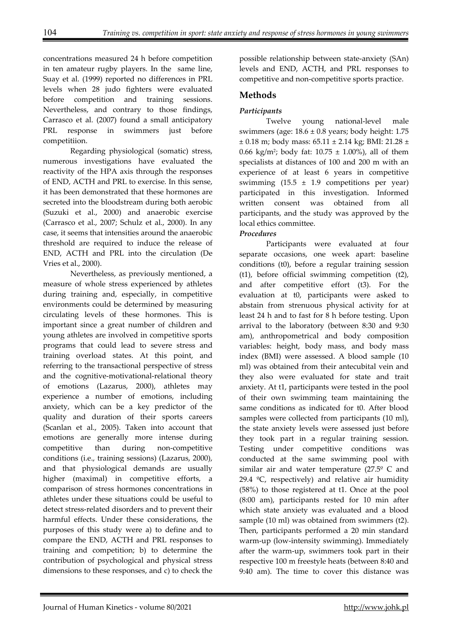concentrations measured 24 h before competition in ten amateur rugby players. In the same line, Suay et al. (1999) reported no differences in PRL levels when 28 judo fighters were evaluated before competition and training sessions. Nevertheless, and contrary to those findings, Carrasco et al. (2007) found a small anticipatory PRL response in swimmers just before competitiion.

Regarding physiological (somatic) stress, numerous investigations have evaluated the reactivity of the HPA axis through the responses of END, ACTH and PRL to exercise. In this sense, it has been demonstrated that these hormones are secreted into the bloodstream during both aerobic (Suzuki et al., 2000) and anaerobic exercise (Carrasco et al., 2007; Schulz et al., 2000). In any case, it seems that intensities around the anaerobic threshold are required to induce the release of END, ACTH and PRL into the circulation (De Vries et al., 2000).

Nevertheless, as previously mentioned, a measure of whole stress experienced by athletes during training and, especially, in competitive environments could be determined by measuring circulating levels of these hormones. This is important since a great number of children and young athletes are involved in competitive sports programs that could lead to severe stress and training overload states. At this point, and referring to the transactional perspective of stress and the cognitive-motivational-relational theory of emotions (Lazarus, 2000), athletes may experience a number of emotions, including anxiety, which can be a key predictor of the quality and duration of their sports careers (Scanlan et al., 2005). Taken into account that emotions are generally more intense during competitive than during non-competitive conditions (i.e., training sessions) (Lazarus, 2000), and that physiological demands are usually higher (maximal) in competitive efforts, a comparison of stress hormones concentrations in athletes under these situations could be useful to detect stress-related disorders and to prevent their harmful effects. Under these considerations, the purposes of this study were a) to define and to compare the END, ACTH and PRL responses to training and competition; b) to determine the contribution of psychological and physical stress dimensions to these responses, and c) to check the

possible relationship between state-anxiety (SAn) levels and END, ACTH, and PRL responses to competitive and non-competitive sports practice.

# **Methods**

# *Participants*

Twelve young national-level male swimmers (age:  $18.6 \pm 0.8$  years; body height: 1.75  $\pm$  0.18 m; body mass: 65.11  $\pm$  2.14 kg; BMI: 21.28  $\pm$ 0.66 kg/m<sup>2</sup>; body fat:  $10.75 \pm 1.00\%$ ), all of them specialists at distances of 100 and 200 m with an experience of at least 6 years in competitive swimming  $(15.5 \pm 1.9)$  competitions per year) participated in this investigation. Informed written consent was obtained from all participants, and the study was approved by the local ethics committee.

## *Procedures*

Participants were evaluated at four separate occasions, one week apart: baseline conditions (t0), before a regular training session (t1), before official swimming competition (t2), and after competitive effort (t3). For the evaluation at t0, participants were asked to abstain from strenuous physical activity for at least 24 h and to fast for 8 h before testing. Upon arrival to the laboratory (between 8:30 and 9:30 am), anthropometrical and body composition variables: height, body mass, and body mass index (BMI) were assessed. A blood sample (10 ml) was obtained from their antecubital vein and they also were evaluated for state and trait anxiety. At t1, participants were tested in the pool of their own swimming team maintaining the same conditions as indicated for t0. After blood samples were collected from participants (10 ml), the state anxiety levels were assessed just before they took part in a regular training session. Testing under competitive conditions was conducted at the same swimming pool with similar air and water temperature  $(27.5^{\circ} \text{ C and})$ 29.4  $°C$ , respectively) and relative air humidity (58%) to those registered at t1. Once at the pool (8:00 am), participants rested for 10 min after which state anxiety was evaluated and a blood sample (10 ml) was obtained from swimmers (t2). Then, participants performed a 20 min standard warm-up (low-intensity swimming). Immediately after the warm-up, swimmers took part in their respective 100 m freestyle heats (between 8:40 and 9:40 am). The time to cover this distance was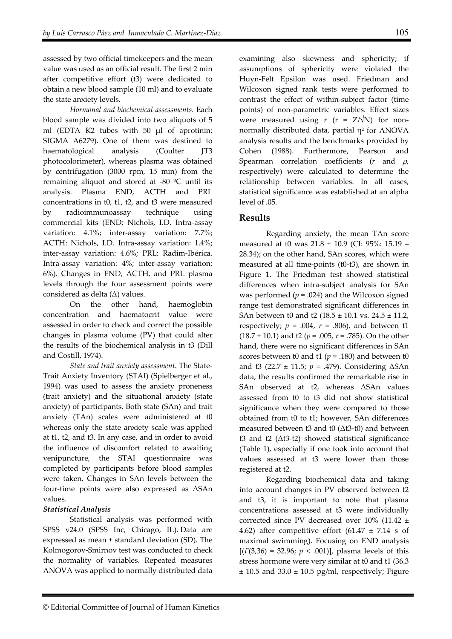assessed by two official timekeepers and the mean value was used as an official result. The first 2 min after competitive effort (t3) were dedicated to obtain a new blood sample (10 ml) and to evaluate the state anxiety levels.

*Hormonal and biochemical assessments.* Each blood sample was divided into two aliquots of 5 ml (EDTA K2 tubes with 50 µl of aprotinin: SIGMA A6279). One of them was destined to haematological analysis (Coulter JT3 photocolorimeter), whereas plasma was obtained by centrifugation (3000 rpm, 15 min) from the remaining aliquot and stored at -80 ºC until its analysis. Plasma END, ACTH and PRL concentrations in t0, t1, t2, and t3 were measured by radioimmunoassay technique using commercial kits (END: Nichols, I.D. Intra-assay variation: 4.1%; inter-assay variation: 7.7%; ACTH: Nichols, I.D. Intra-assay variation: 1.4%; inter-assay variation: 4.6%; PRL: Radim-Ibérica. Intra-assay variation: 4%; inter-assay variation: 6%). Changes in END, ACTH, and PRL plasma levels through the four assessment points were considered as delta (Δ) values.

On the other hand, haemoglobin concentration and haematocrit value were assessed in order to check and correct the possible changes in plasma volume (PV) that could alter the results of the biochemical analysis in t3 (Dill and Costill, 1974).

*State and trait anxiety assessment.* The State-Trait Anxiety Inventory (STAI) (Spielberger et al., 1994) was used to assess the anxiety proneness (trait anxiety) and the situational anxiety (state anxiety) of participants. Both state (SAn) and trait anxiety (TAn) scales were administered at t0 whereas only the state anxiety scale was applied at t1, t2, and t3. In any case, and in order to avoid the influence of discomfort related to awaiting venipuncture, the STAI questionnaire was completed by participants before blood samples were taken. Changes in SAn levels between the four-time points were also expressed as ΔSAn values.

## *Statistical Analysis*

Statistical analysis was performed with SPSS v24.0 (SPSS Inc, Chicago, IL). Data are expressed as mean ± standard deviation (SD). The Kolmogorov-Smirnov test was conducted to check the normality of variables. Repeated measures ANOVA was applied to normally distributed data examining also skewness and sphericity; if assumptions of sphericity were violated the Huyn-Felt Epsilon was used. Friedman and Wilcoxon signed rank tests were performed to contrast the effect of within-subject factor (time points) of non-parametric variables. Effect sizes were measured using *r* (r = Z/√N) for nonnormally distributed data, partial η<sup>2</sup> for ANOVA analysis results and the benchmarks provided by Cohen (1988). Furthermore, Pearson and Spearman correlation coefficients (*r* and ρ, respectively) were calculated to determine the relationship between variables. In all cases, statistical significance was established at an alpha level of .05.

# **Results**

Regarding anxiety, the mean TAn score measured at t0 was 21.8 ± 10.9 (CI: 95%: 15.19 – 28.34); on the other hand, SAn scores, which were measured at all time-points (t0-t3), are shown in Figure 1. The Friedman test showed statistical differences when intra-subject analysis for SAn was performed  $(p = .024)$  and the Wilcoxon signed range test demonstrated significant differences in SAn between t0 and t2 (18.5 ± 10.1 vs. 24.5 ± 11.2, respectively;  $p = .004$ ,  $r = .806$ ), and between t1 (18.7 ± 10.1) and t2 (*p* = .005, *r* = .785). On the other hand, there were no significant differences in SAn scores between t0 and t1 ( $p = .180$ ) and between t0 and t3 (22.7 ± 11.5; *p* = .479). Considering ΔSAn data, the results confirmed the remarkable rise in SAn observed at t2, whereas ΔSAn values assessed from t0 to t3 did not show statistical significance when they were compared to those obtained from t0 to t1; however, SAn differences measured between t3 and t0 (Δt3-t0) and between t3 and t2 (Δt3-t2) showed statistical significance (Table 1), especially if one took into account that values assessed at t3 were lower than those registered at t2.

Regarding biochemical data and taking into account changes in PV observed between t2 and t3, it is important to note that plasma concentrations assessed at t3 were individually corrected since PV decreased over 10% (11.42 ± 4.62) after competitive effort (61.47  $\pm$  7.14 s of maximal swimming). Focusing on END analysis  $[(F(3,36) = 32.96; p < .001)]$ , plasma levels of this stress hormone were very similar at t0 and t1 (36.3  $± 10.5$  and 33.0  $± 10.5$  pg/ml, respectively; Figure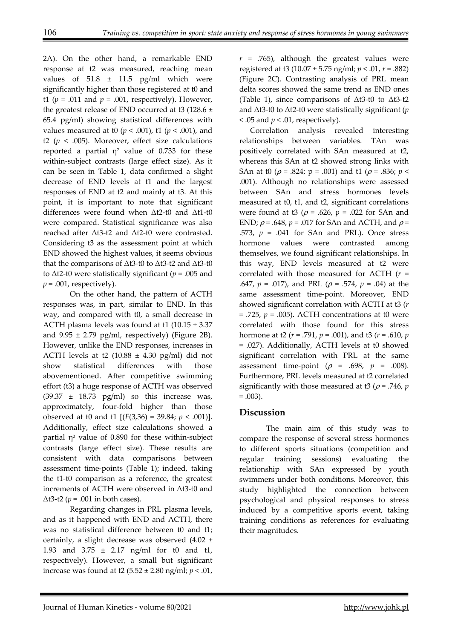2A). On the other hand, a remarkable END response at t2 was measured, reaching mean values of  $51.8 \pm 11.5$  pg/ml which were significantly higher than those registered at t0 and t1 ( $p = .011$  and  $p = .001$ , respectively). However, the greatest release of END occurred at t3 (128.6  $\pm$ 65.4 pg/ml) showing statistical differences with values measured at t0 (*p* < .001), t1 (*p* < .001), and t2 ( $p < .005$ ). Moreover, effect size calculations reported a partial  $\eta^2$  value of 0.733 for these within-subject contrasts (large effect size). As it can be seen in Table 1, data confirmed a slight decrease of END levels at t1 and the largest responses of END at t2 and mainly at t3. At this point, it is important to note that significant differences were found when Δt2-t0 and Δt1-t0 were compared. Statistical significance was also reached after Δt3-t2 and Δt2-t0 were contrasted. Considering t3 as the assessment point at which END showed the highest values, it seems obvious that the comparisons of Δt3-t0 to Δt3-t2 and Δt3-t0 to Δt2-t0 were statistically significant (*p* = .005 and *p =* .001, respectively).

On the other hand, the pattern of ACTH responses was, in part, similar to END. In this way, and compared with t0, a small decrease in ACTH plasma levels was found at t1  $(10.15 \pm 3.37)$ and  $9.95 \pm 2.79$  pg/ml, respectively) (Figure 2B). However, unlike the END responses, increases in ACTH levels at t2 (10.88  $\pm$  4.30 pg/ml) did not show statistical differences with those abovementioned. After competitive swimming effort (t3) a huge response of ACTH was observed  $(39.37 \pm 18.73 \text{ pg/ml})$  so this increase was, approximately, four-fold higher than those observed at t0 and t1  $[(F(3,36) = 39.84; p < .001)].$ Additionally, effect size calculations showed a partial  $\eta^2$  value of 0.890 for these within-subject contrasts (large effect size). These results are consistent with data comparisons between assessment time-points (Table 1); indeed, taking the t1-t0 comparison as a reference, the greatest increments of ACTH were observed in Δt3-t0 and  $\Delta$ t3-t2 (*p* = .001 in both cases).

Regarding changes in PRL plasma levels, and as it happened with END and ACTH, there was no statistical difference between t0 and t1; certainly, a slight decrease was observed (4.02 ± 1.93 and 3.75 ± 2.17 ng/ml for t0 and t1, respectively). However, a small but significant increase was found at t2 (5.52 ± 2.80 ng/ml; *p* < .01,

*r =* .765), although the greatest values were registered at t3 (10.07 ± 5.75 ng/ml; *p* < .01, *r =* .882) (Figure 2C). Contrasting analysis of PRL mean delta scores showed the same trend as END ones (Table 1), since comparisons of  $\Delta t$ 3-t0 to  $\Delta t$ 3-t2 and Δt3-t0 to Δt2-t0 were statistically significant (*p*   $<$  .05 and  $p <$  .01, respectively).

Correlation analysis revealed interesting relationships between variables. TAn was positively correlated with SAn measured at t2, whereas this SAn at t2 showed strong links with SAn at t0 ( $\rho$  = .824;  $p$  = .001) and t1 ( $\rho$  = .836;  $p$  < .001). Although no relationships were assessed between SAn and stress hormones levels measured at t0, t1, and t2, significant correlations were found at t3 ( $\rho$  = .626,  $p$  = .022 for SAn and END;  $\rho$  = .648,  $p$  = .017 for SAn and ACTH, and  $\rho$  = .573, *p* = .041 for SAn and PRL). Once stress hormone values were contrasted among themselves, we found significant relationships. In this way, END levels measured at t2 were correlated with those measured for ACTH (*r* = .647,  $p = .017$ ), and PRL ( $\rho = .574$ ,  $p = .04$ ) at the same assessment time-point. Moreover, END showed significant correlation with ACTH at t3 (*r*  $=$  .725,  $p = .005$ ). ACTH concentrations at t0 were correlated with those found for this stress hormone at t2 (*r* = .791, *p* = .001), and t3 (*r* = .610, *p* = .027). Additionally, ACTH levels at t0 showed significant correlation with PRL at the same assessment time-point  $(\rho = .698, p = .008)$ . Furthermore, PRL levels measured at t2 correlated significantly with those measured at t3 ( $\rho$  = .746, *p*  $= .003$ ).

# **Discussion**

The main aim of this study was to compare the response of several stress hormones to different sports situations (competition and regular training sessions) evaluating the relationship with SAn expressed by youth swimmers under both conditions. Moreover, this study highlighted the connection between psychological and physical responses to stress induced by a competitive sports event, taking training conditions as references for evaluating their magnitudes.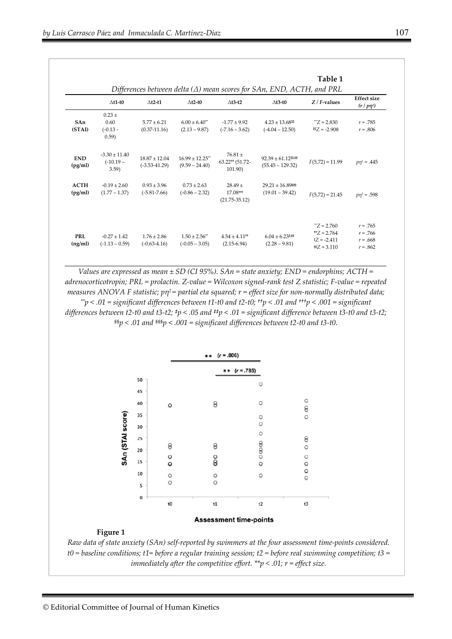|                        | Table 1<br>Differences between delta ( $\Delta$ ) mean scores for SAn, END, ACTH, and PRL |                                        |                                                   |                                                         |                                                   |                                                                       |                                                      |
|------------------------|-------------------------------------------------------------------------------------------|----------------------------------------|---------------------------------------------------|---------------------------------------------------------|---------------------------------------------------|-----------------------------------------------------------------------|------------------------------------------------------|
|                        | $\Delta t$ 1-t0                                                                           | $\Delta t$ 2-t1                        | $\Delta t$ 2-t0                                   | $\triangle$ t3-t2                                       | $\Delta t$ 3-t0                                   | $Z/F$ -values                                                         | <b>Effect</b> size<br>$(r/p\eta^2)$                  |
| SAn<br>(STAI)          | $0.23 +$<br>0.60<br>$(-0.13 -$<br>(0.59)                                                  | $5.77 \pm 6.21$<br>$(0.37 - 11.16)$    | $6.00 \pm 6.40$ <sup>**</sup><br>$(2.13 - 9.87)$  | $-1.77 \pm 9.92$<br>$(-7.16 - 3.62)$                    | $4.23 \pm 13.68^{\text{#}}$<br>$(-4.04 - 12.50)$  | $Z = 2.830$<br>$#Z = -2.908$                                          | $r = .785$<br>$r = .806$                             |
| <b>END</b><br>(pg/ml)  | $-3.30 \pm 11.40$<br>$(-10.19 -$<br>3.59                                                  | $18.87 \pm 12.04$<br>$(-3.53 - 41.29)$ | $16.99 \pm 12.25$ **<br>$(9.59 - 24.40)$          | $76.81 \pm$<br>$63.22$ <sup>++</sup> (51.72-<br>101.90) | $92.39 \pm 61.12$ #88<br>$(55.45 - 129.32)$       | $F(5,72) = 11.99$                                                     | $p\eta^2 = .445$                                     |
| <b>ACTH</b><br>(pg/ml) | $-0.19 \pm 2.60$<br>$(1.77 - 1.37)$                                                       | $0.93 \pm 3.96$<br>$(-5.81 - 7.66)$    | $0.73 \pm 2.63$<br>$(-0.86 - 2.32)$               | $28.49 \pm$<br>17.08 ***<br>$(21.75 - 35.12)$           | $29.21 \pm 16.89$ SSSSS<br>$(19.01 - 39.42)$      | $F(5,72) = 21.45$                                                     | $p\eta^2 = .598$                                     |
| <b>PRL</b><br>(ng/ml)  | $-0.27 \pm 1.42$<br>$(-1.13 - 0.59)$                                                      | $1.76 \pm 2.86$<br>$(-0.63-4.16)$      | $1.50 \pm 2.56$ <sup>**</sup><br>$(-0.05 - 3.05)$ | $4.54 \pm 4.11$ <sup>++</sup><br>$(2.15-6.94)$          | $6.04 \pm 6.23$ <sup>tss</sup><br>$(2.28 - 9.81)$ | $Z = 2.760$<br>$+Z = 2.764$<br>$Z = -2.411$<br>$\frac{65}{2} = 3.110$ | $r = .765$<br>$r = .766$<br>$r = .668$<br>$r = .862$ |

*Values are expressed as mean ± SD (CI 95%). SAn = state anxiety; END = endorphins; ACTH = adrenocorticotropin; PRL = prolactin. Z-value = Wilcoxon signed-rank test Z statistic; F-value = repeated measures ANOVA F statistic; pη2 = partial eta squared; r = effect size for non-normally distributed data; \*\*p < .01 = significant differences between t1-t0 and t2-t0; ††p < .01 and †††p < .001 = significant differences between t2-t0 and t3-t2; ‡p < .05 and ‡‡p < .01 = significant difference between t3-t0 and t3-t2; §§p < .01 and §§§p < .001 = significant differences between t2-t0 and t3-t0.* 



### **Assessment time-points**

#### **Figure 1**

*Raw data of state anxiety (SAn) self-reported by swimmers at the four assessment time-points considered. t0 = baseline conditions; t1= before a regular training session; t2 = before real swimming competition; t3 = immediately after the competitive effort. \*\*p < .01; r = effect size.*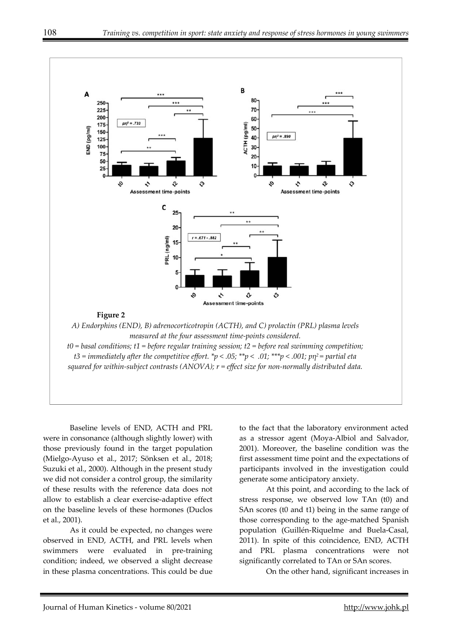

Baseline levels of END, ACTH and PRL were in consonance (although slightly lower) with those previously found in the target population (Mielgo-Ayuso et al., 2017; Sönksen et al., 2018; Suzuki et al., 2000). Although in the present study we did not consider a control group, the similarity of these results with the reference data does not allow to establish a clear exercise-adaptive effect on the baseline levels of these hormones (Duclos et al., 2001).

As it could be expected, no changes were observed in END, ACTH, and PRL levels when swimmers were evaluated in pre-training condition; indeed, we observed a slight decrease in these plasma concentrations. This could be due to the fact that the laboratory environment acted as a stressor agent (Moya-Albiol and Salvador, 2001). Moreover, the baseline condition was the first assessment time point and the expectations of participants involved in the investigation could generate some anticipatory anxiety.

At this point, and according to the lack of stress response, we observed low TAn (t0) and SAn scores (t0 and t1) being in the same range of those corresponding to the age-matched Spanish population (Guillén-Riquelme and Buela-Casal, 2011). In spite of this coincidence, END, ACTH and PRL plasma concentrations were not significantly correlated to TAn or SAn scores.

On the other hand, significant increases in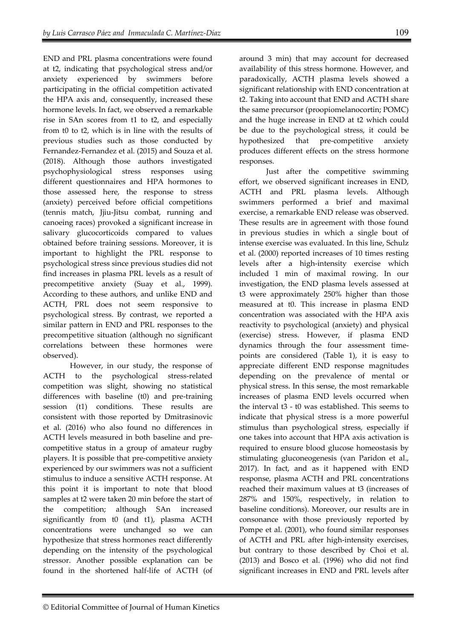END and PRL plasma concentrations were found at t2, indicating that psychological stress and/or anxiety experienced by swimmers before participating in the official competition activated the HPA axis and, consequently, increased these hormone levels. In fact, we observed a remarkable rise in SAn scores from t1 to t2, and especially from t0 to t2, which is in line with the results of previous studies such as those conducted by Fernandez-Fernandez et al. (2015) and Souza et al. (2018). Although those authors investigated psychophysiological stress responses using different questionnaires and HPA hormones to those assessed here, the response to stress (anxiety) perceived before official competitions (tennis match, Jjiu-Jitsu combat, running and canoeing races) provoked a significant increase in salivary glucocorticoids compared to values obtained before training sessions. Moreover, it is important to highlight the PRL response to psychological stress since previous studies did not find increases in plasma PRL levels as a result of precompetitive anxiety (Suay et al., 1999). According to these authors, and unlike END and ACTH, PRL does not seem responsive to psychological stress. By contrast, we reported a similar pattern in END and PRL responses to the precompetitive situation (although no significant correlations between these hormones were

However, in our study, the response of ACTH to the psychological stress-related competition was slight, showing no statistical differences with baseline (t0) and pre-training session (t1) conditions. These results are consistent with those reported by Dmitrasinovic et al. (2016) who also found no differences in ACTH levels measured in both baseline and precompetitive status in a group of amateur rugby players. It is possible that pre-competitive anxiety experienced by our swimmers was not a sufficient stimulus to induce a sensitive ACTH response. At this point it is important to note that blood samples at t2 were taken 20 min before the start of the competition; although SAn increased significantly from t0 (and t1), plasma ACTH concentrations were unchanged so we can hypothesize that stress hormones react differently depending on the intensity of the psychological stressor. Another possible explanation can be found in the shortened half-life of ACTH (of

observed).

around 3 min) that may account for decreased availability of this stress hormone. However, and paradoxically, ACTH plasma levels showed a significant relationship with END concentration at t2. Taking into account that END and ACTH share the same precursor (proopiomelanocortin; POMC) and the huge increase in END at t2 which could be due to the psychological stress, it could be hypothesized that pre-competitive anxiety produces different effects on the stress hormone responses.

Just after the competitive swimming effort, we observed significant increases in END, ACTH and PRL plasma levels. Although swimmers performed a brief and maximal exercise, a remarkable END release was observed. These results are in agreement with those found in previous studies in which a single bout of intense exercise was evaluated. In this line, Schulz et al. (2000) reported increases of 10 times resting levels after a high-intensity exercise which included 1 min of maximal rowing. In our investigation, the END plasma levels assessed at t3 were approximately 250% higher than those measured at t0. This increase in plasma END concentration was associated with the HPA axis reactivity to psychological (anxiety) and physical (exercise) stress. However, if plasma END dynamics through the four assessment timepoints are considered (Table 1), it is easy to appreciate different END response magnitudes depending on the prevalence of mental or physical stress. In this sense, the most remarkable increases of plasma END levels occurred when the interval t3 - t0 was established. This seems to indicate that physical stress is a more powerful stimulus than psychological stress, especially if one takes into account that HPA axis activation is required to ensure blood glucose homeostasis by stimulating gluconeogenesis (van Paridon et al., 2017). In fact, and as it happened with END response, plasma ACTH and PRL concentrations reached their maximum values at t3 (increases of 287% and 150%, respectively, in relation to baseline conditions). Moreover, our results are in consonance with those previously reported by Pompe et al. (2001), who found similar responses of ACTH and PRL after high-intensity exercises, but contrary to those described by Choi et al. (2013) and Bosco et al. (1996) who did not find significant increases in END and PRL levels after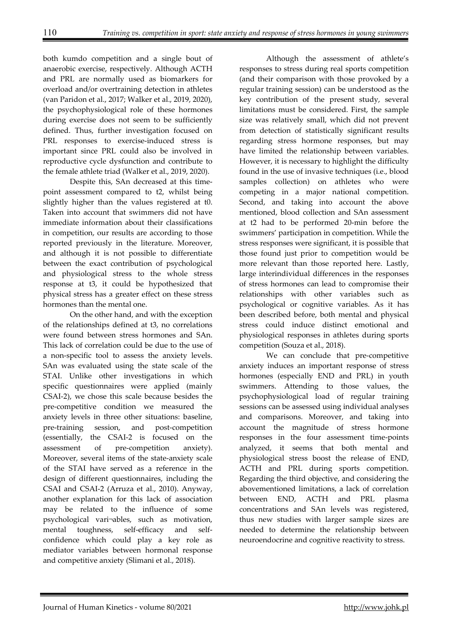both kumdo competition and a single bout of anaerobic exercise, respectively. Although ACTH and PRL are normally used as biomarkers for overload and/or overtraining detection in athletes (van Paridon et al., 2017; Walker et al., 2019, 2020), the psychophysiological role of these hormones during exercise does not seem to be sufficiently defined. Thus, further investigation focused on PRL responses to exercise-induced stress is important since PRL could also be involved in reproductive cycle dysfunction and contribute to the female athlete triad (Walker et al., 2019, 2020).

Despite this, SAn decreased at this timepoint assessment compared to t2, whilst being slightly higher than the values registered at t0. Taken into account that swimmers did not have immediate information about their classifications in competition, our results are according to those reported previously in the literature. Moreover, and although it is not possible to differentiate between the exact contribution of psychological and physiological stress to the whole stress response at t3, it could be hypothesized that physical stress has a greater effect on these stress hormones than the mental one.

On the other hand, and with the exception of the relationships defined at t3, no correlations were found between stress hormones and SAn. This lack of correlation could be due to the use of a non-specific tool to assess the anxiety levels. SAn was evaluated using the state scale of the STAI. Unlike other investigations in which specific questionnaires were applied (mainly CSAI-2), we chose this scale because besides the pre-competitive condition we measured the anxiety levels in three other situations: baseline, pre-training session, and post-competition (essentially, the CSAI-2 is focused on the assessment of pre-competition anxiety). Moreover, several items of the state-anxiety scale of the STAI have served as a reference in the design of different questionnaires, including the CSAI and CSAI-2 (Arruza et al., 2010). Anyway, another explanation for this lack of association may be related to the influence of some psychological vari¬ables, such as motivation, mental toughness, self-efficacy and selfconfidence which could play a key role as mediator variables between hormonal response and competitive anxiety (Slimani et al., 2018).

Although the assessment of athlete's responses to stress during real sports competition (and their comparison with those provoked by a regular training session) can be understood as the key contribution of the present study, several limitations must be considered. First, the sample size was relatively small, which did not prevent from detection of statistically significant results regarding stress hormone responses, but may have limited the relationship between variables. However, it is necessary to highlight the difficulty found in the use of invasive techniques (i.e., blood samples collection) on athletes who were competing in a major national competition. Second, and taking into account the above mentioned, blood collection and SAn assessment at t2 had to be performed 20-min before the swimmers' participation in competition. While the stress responses were significant, it is possible that those found just prior to competition would be more relevant than those reported here. Lastly, large interindividual differences in the responses of stress hormones can lead to compromise their relationships with other variables such as psychological or cognitive variables. As it has been described before, both mental and physical stress could induce distinct emotional and physiological responses in athletes during sports competition (Souza et al., 2018).

We can conclude that pre-competitive anxiety induces an important response of stress hormones (especially END and PRL) in youth swimmers. Attending to those values, the psychophysiological load of regular training sessions can be assessed using individual analyses and comparisons. Moreover, and taking into account the magnitude of stress hormone responses in the four assessment time-points analyzed, it seems that both mental and physiological stress boost the release of END, ACTH and PRL during sports competition. Regarding the third objective, and considering the abovementioned limitations, a lack of correlation between END, ACTH and PRL plasma concentrations and SAn levels was registered, thus new studies with larger sample sizes are needed to determine the relationship between neuroendocrine and cognitive reactivity to stress.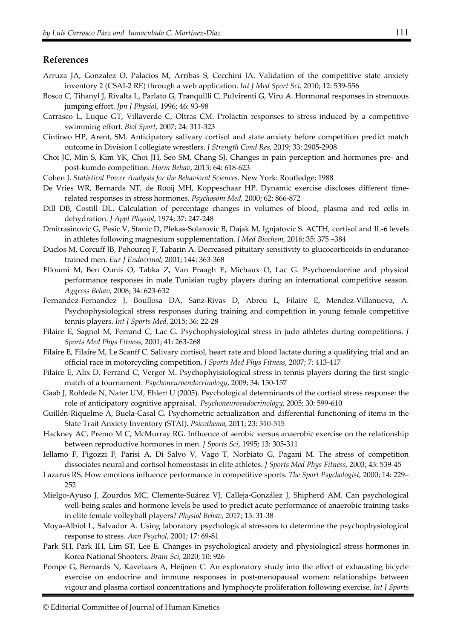### **References**

- Arruza JA, Gonzalez O, Palacios M, Arribas S, Cecchini JA. Validation of the competitive state anxiety inventory 2 (CSAI-2 RE) through a web application. *Int J Med Sport Sci,* 2010; 12: 539-556
- Bosco C, Tihanyl J, Rivalta L, Parlato G, Tranquilli C, Pulvirenti G, Viru A. Hormonal responses in strenuous jumping effort. *Jpn J Physiol*, 1996; 46: 93-98
- Carrasco L, Luque GT, Villaverde C, Oltras CM. Prolactin responses to stress induced by a competitive swimming effort. *Biol Sport*, 2007; 24: 311-323
- Cintineo HP, Arent, SM. Anticipatory salivary cortisol and state anxiety before competition predict match outcome in Division I collegiate wrestlers. *J Strength Cond Res,* 2019; 33: 2905-2908
- Choi JC, Min S, Kim YK, Choi JH, Seo SM, Chang SJ. Changes in pain perception and hormones pre- and post-kumdo competition. *Horm Behav*, 2013; 64: 618-623
- Cohen J. *Statistical Power Analysis for the Behavioral Sciences*. New York: Routledge; 1988
- De Vries WR, Bernards NT, de Rooij MH, Koppeschaar HP. Dynamic exercise discloses different timerelated responses in stress hormones. *Psychosom Med,* 2000; 62: 866-872
- Dill DB, Costill DL. Calculation of percentage changes in volumes of blood, plasma and red cells in dehydration. *J Appl Physiol*, 1974; 37: 247-248
- Dmitrasinovic G, Pesic V, Stanic D, Plekas-Solarovic B, Dajak M, Ignjatovic S. ACTH, cortisol and IL-6 levels in athletes following magnesium supplementation. *J Med Biochem,* 2016; 35: 375 –384
- Duclos M, Corcuff JB, Pehourcq F, Tabarin A. Decreased pituitary sensitivity to glucocorticoids in endurance trained men. *Eur J Endocrinol*, 2001; 144: 363-368
- Elloumi M, Ben Ounis O, Tabka Z, Van Praagh E, Michaux O, Lac G. Psychoendocrine and physical performance responses in male Tunisian rugby players during an international competitive season. *Aggress Behav*, 2008; 34: 623-632
- Fernandez-Fernandez J, Boullosa DA, Sanz-Rivas D, Abreu L, Filaire E, Mendez-Villanueva, A. Psychophysiological stress responses during training and competition in young female competitive tennis players. *Int J Sports Med*, 2015; 36: 22-28
- Filaire E, Sagnol M, Ferrand C, Lac G. Psychophysiological stress in judo athletes during competitions. *J Sports Med Phys Fitness,* 2001; 41: 263-268
- Filaire E, Filaire M, Le Scanff C. Salivary cortisol, heart rate and blood lactate during a qualifying trial and an official race in motorcycling competition. *J Sports Med Phys Fitness*, 2007; 7*:* 413-417
- Filaire E, Alix D, Ferrand C, Verger M. Psychophyisiological stress in tennis players during the first single match of a tournament. *Psychoneuroendocrinology*, 2009; 34: 150-157
- Gaab J, Rohlede N, Nater UM, Ehlert U (2005). Psychological determinants of the cortisol stress response: the role of anticipatory cognitive appraisal. *Psychoneuroendocrinology*, 2005; 30*:* 599-610
- Guillén-Riquelme A, Buela-Casal G. Psychometric actualization and differential functioning of items in the State Trait Anxiety Inventory (STAI). *Psicothema,* 2011; 23: 510-515
- Hackney AC, Premo M C, McMurray RG. Influence of aerobic versus anaerobic exercise on the relationship between reproductive hormones in men. *J Sports Sci*, 1995; 13: 305-311
- Iellamo F, Pigozzi F, Parisi A, Di Salvo V, Vago T, Norbiato G, Pagani M. The stress of competition dissociates neural and cortisol homeostasis in elite athletes. *J Sports Med Phys Fitness,* 2003; 43: 539-45
- Lazarus RS. How emotions influence performance in competitive sports. *The Sport Psychologist,* 2000; 14: 229– 252
- Mielgo-Ayuso J, Zourdos MC, Clemente-Suárez VJ, Calleja-González J, Shipherd AM. Can psychological well-being scales and hormone levels be used to predict acute performance of anaerobic training tasks in elite female volleyball players? *Physiol Behav*, 2017; 15: 31-38
- Moya-Albiol L, Salvador A. Using laboratory psychological stressors to determine the psychophysiological response to stress. *Ann Psychol,* 2001; 17*:* 69-81
- Park SH, Park IH, Lim ST, Lee E. Changes in psychological anxiety and physiological stress hormones in Korea National Shooters. *Brain Sci,* 2020; 10: 926
- Pompe G, Bernards N, Kavelaars A, Heijnen C. An exploratory study into the effect of exhausting bicycle exercise on endocrine and immune responses in post-menopausal women: relationships between vigour and plasma cortisol concentrations and lymphocyte proliferation following exercise. *Int J Sports*